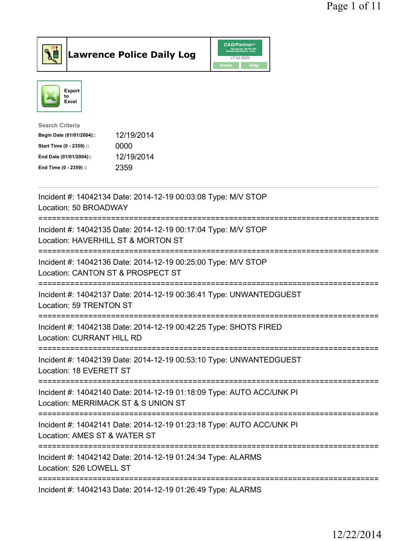



| <b>Search Criteria</b>    |            |
|---------------------------|------------|
| Begin Date (01/01/2004):: | 12/19/2014 |
| Start Time (0 - 2359) ::  | 0000       |
| End Date (01/01/2004)::   | 12/19/2014 |
| End Time (0 - 2359) ::    | 2359       |
|                           |            |

| Incident #: 14042134 Date: 2014-12-19 00:03:08 Type: M/V STOP<br>Location: 50 BROADWAY                      |
|-------------------------------------------------------------------------------------------------------------|
| Incident #: 14042135 Date: 2014-12-19 00:17:04 Type: M/V STOP<br>Location: HAVERHILL ST & MORTON ST         |
| Incident #: 14042136 Date: 2014-12-19 00:25:00 Type: M/V STOP<br>Location: CANTON ST & PROSPECT ST          |
| Incident #: 14042137 Date: 2014-12-19 00:36:41 Type: UNWANTEDGUEST<br>Location: 59 TRENTON ST               |
| Incident #: 14042138 Date: 2014-12-19 00:42:25 Type: SHOTS FIRED<br><b>Location: CURRANT HILL RD</b>        |
| Incident #: 14042139 Date: 2014-12-19 00:53:10 Type: UNWANTEDGUEST<br>Location: 18 EVERETT ST               |
| Incident #: 14042140 Date: 2014-12-19 01:18:09 Type: AUTO ACC/UNK PI<br>Location: MERRIMACK ST & S UNION ST |
| Incident #: 14042141 Date: 2014-12-19 01:23:18 Type: AUTO ACC/UNK PI<br>Location: AMES ST & WATER ST        |
| Incident #: 14042142 Date: 2014-12-19 01:24:34 Type: ALARMS<br>Location: 526 LOWELL ST                      |
| Incident #: 14042143 Date: 2014-12-19 01:26:49 Type: ALARMS                                                 |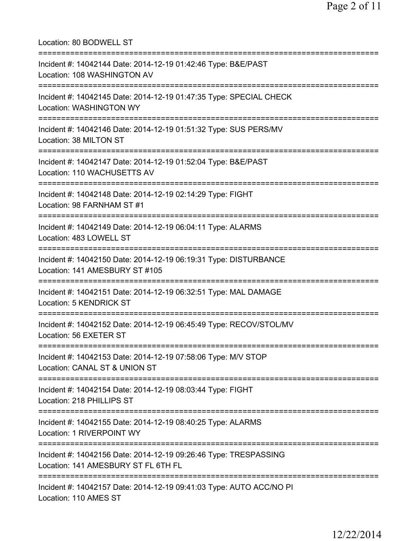Location: 80 BODWELL ST =========================================================================== Incident #: 14042144 Date: 2014-12-19 01:42:46 Type: B&E/PAST Location: 108 WASHINGTON AV =========================================================================== Incident #: 14042145 Date: 2014-12-19 01:47:35 Type: SPECIAL CHECK Location: WASHINGTON WY =========================================================================== Incident #: 14042146 Date: 2014-12-19 01:51:32 Type: SUS PERS/MV Location: 38 MILTON ST =========================================================================== Incident #: 14042147 Date: 2014-12-19 01:52:04 Type: B&E/PAST Location: 110 WACHUSETTS AV =========================================================================== Incident #: 14042148 Date: 2014-12-19 02:14:29 Type: FIGHT Location: 98 FARNHAM ST #1 =========================================================================== Incident #: 14042149 Date: 2014-12-19 06:04:11 Type: ALARMS Location: 483 LOWELL ST =========================================================================== Incident #: 14042150 Date: 2014-12-19 06:19:31 Type: DISTURBANCE Location: 141 AMESBURY ST #105 =========================================================================== Incident #: 14042151 Date: 2014-12-19 06:32:51 Type: MAL DAMAGE Location: 5 KENDRICK ST =========================================================================== Incident #: 14042152 Date: 2014-12-19 06:45:49 Type: RECOV/STOL/MV Location: 56 EXETER ST =========================================================================== Incident #: 14042153 Date: 2014-12-19 07:58:06 Type: M/V STOP Location: CANAL ST & UNION ST =========================================================================== Incident #: 14042154 Date: 2014-12-19 08:03:44 Type: FIGHT Location: 218 PHILLIPS ST =========================================================================== Incident #: 14042155 Date: 2014-12-19 08:40:25 Type: ALARMS Location: 1 RIVERPOINT WY =========================================================================== Incident #: 14042156 Date: 2014-12-19 09:26:46 Type: TRESPASSING Location: 141 AMESBURY ST FL 6TH FL =========================================================================== Incident #: 14042157 Date: 2014-12-19 09:41:03 Type: AUTO ACC/NO PI Location: 110 AMES ST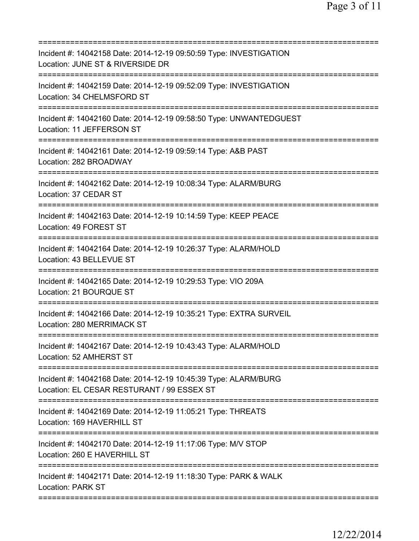| Incident #: 14042158 Date: 2014-12-19 09:50:59 Type: INVESTIGATION<br>Location: JUNE ST & RIVERSIDE DR         |
|----------------------------------------------------------------------------------------------------------------|
| Incident #: 14042159 Date: 2014-12-19 09:52:09 Type: INVESTIGATION<br>Location: 34 CHELMSFORD ST               |
| Incident #: 14042160 Date: 2014-12-19 09:58:50 Type: UNWANTEDGUEST<br>Location: 11 JEFFERSON ST                |
| Incident #: 14042161 Date: 2014-12-19 09:59:14 Type: A&B PAST<br>Location: 282 BROADWAY                        |
| Incident #: 14042162 Date: 2014-12-19 10:08:34 Type: ALARM/BURG<br>Location: 37 CEDAR ST                       |
| Incident #: 14042163 Date: 2014-12-19 10:14:59 Type: KEEP PEACE<br>Location: 49 FOREST ST<br>----------------- |
| Incident #: 14042164 Date: 2014-12-19 10:26:37 Type: ALARM/HOLD<br>Location: 43 BELLEVUE ST                    |
| Incident #: 14042165 Date: 2014-12-19 10:29:53 Type: VIO 209A<br>Location: 21 BOURQUE ST                       |
| Incident #: 14042166 Date: 2014-12-19 10:35:21 Type: EXTRA SURVEIL<br>Location: 280 MERRIMACK ST               |
| Incident #: 14042167 Date: 2014-12-19 10:43:43 Type: ALARM/HOLD<br>Location: 52 AMHERST ST                     |
| Incident #: 14042168 Date: 2014-12-19 10:45:39 Type: ALARM/BURG<br>Location: EL CESAR RESTURANT / 99 ESSEX ST  |
| Incident #: 14042169 Date: 2014-12-19 11:05:21 Type: THREATS<br>Location: 169 HAVERHILL ST                     |
| Incident #: 14042170 Date: 2014-12-19 11:17:06 Type: M/V STOP<br>Location: 260 E HAVERHILL ST                  |
| Incident #: 14042171 Date: 2014-12-19 11:18:30 Type: PARK & WALK<br><b>Location: PARK ST</b>                   |
|                                                                                                                |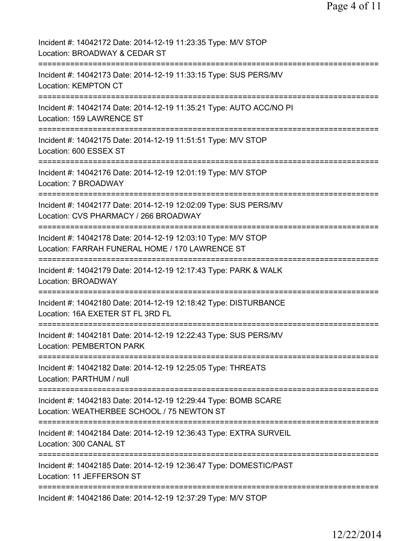Page 4 of 11

| Incident #: 14042172 Date: 2014-12-19 11:23:35 Type: M/V STOP<br>Location: BROADWAY & CEDAR ST                                     |
|------------------------------------------------------------------------------------------------------------------------------------|
| Incident #: 14042173 Date: 2014-12-19 11:33:15 Type: SUS PERS/MV<br><b>Location: KEMPTON CT</b>                                    |
| Incident #: 14042174 Date: 2014-12-19 11:35:21 Type: AUTO ACC/NO PI<br>Location: 159 LAWRENCE ST                                   |
| Incident #: 14042175 Date: 2014-12-19 11:51:51 Type: M/V STOP<br>Location: 600 ESSEX ST                                            |
| Incident #: 14042176 Date: 2014-12-19 12:01:19 Type: M/V STOP<br>Location: 7 BROADWAY                                              |
| =====================<br>Incident #: 14042177 Date: 2014-12-19 12:02:09 Type: SUS PERS/MV<br>Location: CVS PHARMACY / 266 BROADWAY |
| Incident #: 14042178 Date: 2014-12-19 12:03:10 Type: M/V STOP<br>Location: FARRAH FUNERAL HOME / 170 LAWRENCE ST                   |
| Incident #: 14042179 Date: 2014-12-19 12:17:43 Type: PARK & WALK<br><b>Location: BROADWAY</b>                                      |
| Incident #: 14042180 Date: 2014-12-19 12:18:42 Type: DISTURBANCE<br>Location: 16A EXETER ST FL 3RD FL                              |
| Incident #: 14042181 Date: 2014-12-19 12:22:43 Type: SUS PERS/MV<br>Location: PEMBERTON PARK                                       |
| Incident #: 14042182 Date: 2014-12-19 12:25:05 Type: THREATS<br>Location: PARTHUM / null                                           |
| Incident #: 14042183 Date: 2014-12-19 12:29:44 Type: BOMB SCARE<br>Location: WEATHERBEE SCHOOL / 75 NEWTON ST                      |
| Incident #: 14042184 Date: 2014-12-19 12:36:43 Type: EXTRA SURVEIL<br>Location: 300 CANAL ST                                       |
| Incident #: 14042185 Date: 2014-12-19 12:36:47 Type: DOMESTIC/PAST<br>Location: 11 JEFFERSON ST                                    |
| Incident #: 14042186 Date: 2014-12-19 12:37:29 Type: M/V STOP                                                                      |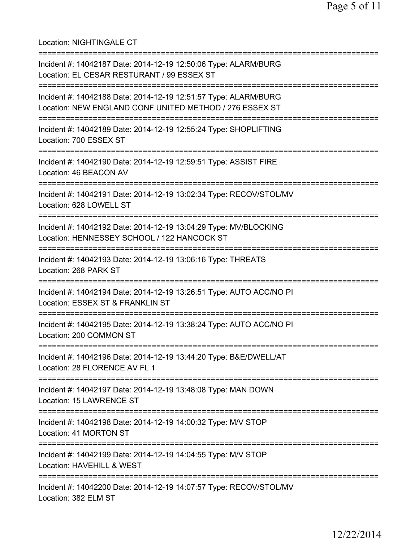Location: NIGHTINGALE CT =========================================================================== Incident #: 14042187 Date: 2014-12-19 12:50:06 Type: ALARM/BURG Location: EL CESAR RESTURANT / 99 ESSEX ST =========================================================================== Incident #: 14042188 Date: 2014-12-19 12:51:57 Type: ALARM/BURG Location: NEW ENGLAND CONF UNITED METHOD / 276 ESSEX ST =========================================================================== Incident #: 14042189 Date: 2014-12-19 12:55:24 Type: SHOPLIFTING Location: 700 ESSEX ST =========================================================================== Incident #: 14042190 Date: 2014-12-19 12:59:51 Type: ASSIST FIRE Location: 46 BEACON AV =========================================================================== Incident #: 14042191 Date: 2014-12-19 13:02:34 Type: RECOV/STOL/MV Location: 628 LOWELL ST =========================================================================== Incident #: 14042192 Date: 2014-12-19 13:04:29 Type: MV/BLOCKING Location: HENNESSEY SCHOOL / 122 HANCOCK ST =========================================================================== Incident #: 14042193 Date: 2014-12-19 13:06:16 Type: THREATS Location: 268 PARK ST =========================================================================== Incident #: 14042194 Date: 2014-12-19 13:26:51 Type: AUTO ACC/NO PI Location: ESSEX ST & FRANKLIN ST =========================================================================== Incident #: 14042195 Date: 2014-12-19 13:38:24 Type: AUTO ACC/NO PI Location: 200 COMMON ST =========================================================================== Incident #: 14042196 Date: 2014-12-19 13:44:20 Type: B&E/DWELL/AT Location: 28 FLORENCE AV FL 1 =========================================================================== Incident #: 14042197 Date: 2014-12-19 13:48:08 Type: MAN DOWN Location: 15 LAWRENCE ST =========================================================================== Incident #: 14042198 Date: 2014-12-19 14:00:32 Type: M/V STOP Location: 41 MORTON ST =========================================================================== Incident #: 14042199 Date: 2014-12-19 14:04:55 Type: M/V STOP Location: HAVEHILL & WEST =========================================================================== Incident #: 14042200 Date: 2014-12-19 14:07:57 Type: RECOV/STOL/MV Location: 382 ELM ST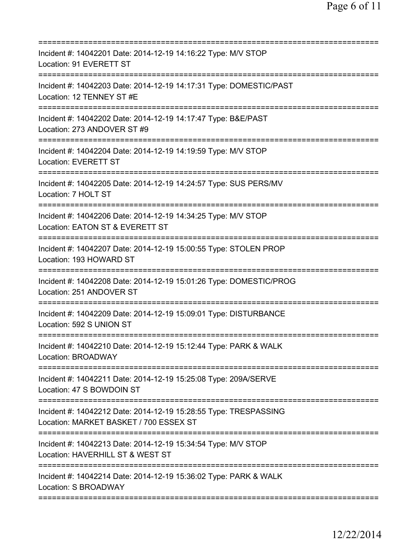| Incident #: 14042201 Date: 2014-12-19 14:16:22 Type: M/V STOP<br>Location: 91 EVERETT ST                                           |
|------------------------------------------------------------------------------------------------------------------------------------|
| Incident #: 14042203 Date: 2014-12-19 14:17:31 Type: DOMESTIC/PAST<br>Location: 12 TENNEY ST #E                                    |
| Incident #: 14042202 Date: 2014-12-19 14:17:47 Type: B&E/PAST<br>Location: 273 ANDOVER ST #9                                       |
| Incident #: 14042204 Date: 2014-12-19 14:19:59 Type: M/V STOP<br>Location: EVERETT ST                                              |
| Incident #: 14042205 Date: 2014-12-19 14:24:57 Type: SUS PERS/MV<br>Location: 7 HOLT ST                                            |
| ==============================<br>Incident #: 14042206 Date: 2014-12-19 14:34:25 Type: M/V STOP<br>Location: EATON ST & EVERETT ST |
| Incident #: 14042207 Date: 2014-12-19 15:00:55 Type: STOLEN PROP<br>Location: 193 HOWARD ST                                        |
| Incident #: 14042208 Date: 2014-12-19 15:01:26 Type: DOMESTIC/PROG<br>Location: 251 ANDOVER ST                                     |
| Incident #: 14042209 Date: 2014-12-19 15:09:01 Type: DISTURBANCE<br>Location: 592 S UNION ST                                       |
| Incident #: 14042210 Date: 2014-12-19 15:12:44 Type: PARK & WALK<br><b>Location: BROADWAY</b>                                      |
| Incident #: 14042211 Date: 2014-12-19 15:25:08 Type: 209A/SERVE<br>Location: 47 S BOWDOIN ST                                       |
| Incident #: 14042212 Date: 2014-12-19 15:28:55 Type: TRESPASSING<br>Location: MARKET BASKET / 700 ESSEX ST                         |
| Incident #: 14042213 Date: 2014-12-19 15:34:54 Type: M/V STOP<br>Location: HAVERHILL ST & WEST ST                                  |
| Incident #: 14042214 Date: 2014-12-19 15:36:02 Type: PARK & WALK<br><b>Location: S BROADWAY</b>                                    |
|                                                                                                                                    |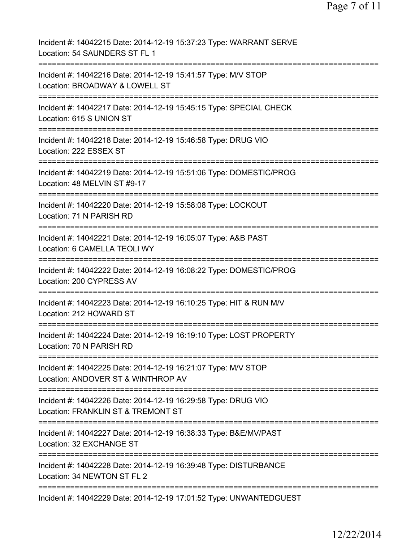| Incident #: 14042215 Date: 2014-12-19 15:37:23 Type: WARRANT SERVE<br>Location: 54 SAUNDERS ST FL 1 |
|-----------------------------------------------------------------------------------------------------|
| Incident #: 14042216 Date: 2014-12-19 15:41:57 Type: M/V STOP<br>Location: BROADWAY & LOWELL ST     |
| Incident #: 14042217 Date: 2014-12-19 15:45:15 Type: SPECIAL CHECK<br>Location: 615 S UNION ST      |
| Incident #: 14042218 Date: 2014-12-19 15:46:58 Type: DRUG VIO<br>Location: 222 ESSEX ST             |
| Incident #: 14042219 Date: 2014-12-19 15:51:06 Type: DOMESTIC/PROG<br>Location: 48 MELVIN ST #9-17  |
| Incident #: 14042220 Date: 2014-12-19 15:58:08 Type: LOCKOUT<br>Location: 71 N PARISH RD            |
| Incident #: 14042221 Date: 2014-12-19 16:05:07 Type: A&B PAST<br>Location: 6 CAMELLA TEOLI WY       |
| Incident #: 14042222 Date: 2014-12-19 16:08:22 Type: DOMESTIC/PROG<br>Location: 200 CYPRESS AV      |
| Incident #: 14042223 Date: 2014-12-19 16:10:25 Type: HIT & RUN M/V<br>Location: 212 HOWARD ST       |
| Incident #: 14042224 Date: 2014-12-19 16:19:10 Type: LOST PROPERTY<br>Location: 70 N PARISH RD      |
| Incident #: 14042225 Date: 2014-12-19 16:21:07 Type: M/V STOP<br>Location: ANDOVER ST & WINTHROP AV |
| Incident #: 14042226 Date: 2014-12-19 16:29:58 Type: DRUG VIO<br>Location: FRANKLIN ST & TREMONT ST |
| Incident #: 14042227 Date: 2014-12-19 16:38:33 Type: B&E/MV/PAST<br>Location: 32 EXCHANGE ST        |
| Incident #: 14042228 Date: 2014-12-19 16:39:48 Type: DISTURBANCE<br>Location: 34 NEWTON ST FL 2     |
| Incident #: 14042229 Date: 2014-12-19 17:01:52 Type: UNWANTEDGUEST                                  |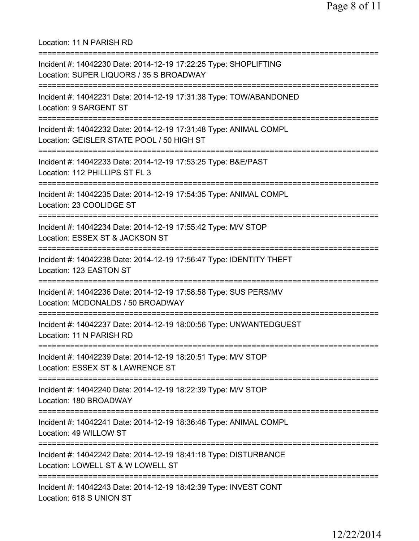Location: 11 N PARISH RD =========================================================================== Incident #: 14042230 Date: 2014-12-19 17:22:25 Type: SHOPLIFTING Location: SUPER LIQUORS / 35 S BROADWAY =========================================================================== Incident #: 14042231 Date: 2014-12-19 17:31:38 Type: TOW/ABANDONED Location: 9 SARGENT ST =========================================================================== Incident #: 14042232 Date: 2014-12-19 17:31:48 Type: ANIMAL COMPL Location: GEISLER STATE POOL / 50 HIGH ST =========================================================================== Incident #: 14042233 Date: 2014-12-19 17:53:25 Type: B&E/PAST Location: 112 PHILLIPS ST FL 3 =========================================================================== Incident #: 14042235 Date: 2014-12-19 17:54:35 Type: ANIMAL COMPL Location: 23 COOLIDGE ST =========================================================================== Incident #: 14042234 Date: 2014-12-19 17:55:42 Type: M/V STOP Location: ESSEX ST & JACKSON ST =========================================================================== Incident #: 14042238 Date: 2014-12-19 17:56:47 Type: IDENTITY THEFT Location: 123 EASTON ST =========================================================================== Incident #: 14042236 Date: 2014-12-19 17:58:58 Type: SUS PERS/MV Location: MCDONALDS / 50 BROADWAY =========================================================================== Incident #: 14042237 Date: 2014-12-19 18:00:56 Type: UNWANTEDGUEST Location: 11 N PARISH RD =========================================================================== Incident #: 14042239 Date: 2014-12-19 18:20:51 Type: M/V STOP Location: ESSEX ST & LAWRENCE ST =========================================================================== Incident #: 14042240 Date: 2014-12-19 18:22:39 Type: M/V STOP Location: 180 BROADWAY =========================================================================== Incident #: 14042241 Date: 2014-12-19 18:36:46 Type: ANIMAL COMPL Location: 49 WILLOW ST =========================================================================== Incident #: 14042242 Date: 2014-12-19 18:41:18 Type: DISTURBANCE Location: LOWELL ST & W LOWELL ST =========================================================================== Incident #: 14042243 Date: 2014-12-19 18:42:39 Type: INVEST CONT Location: 618 S UNION ST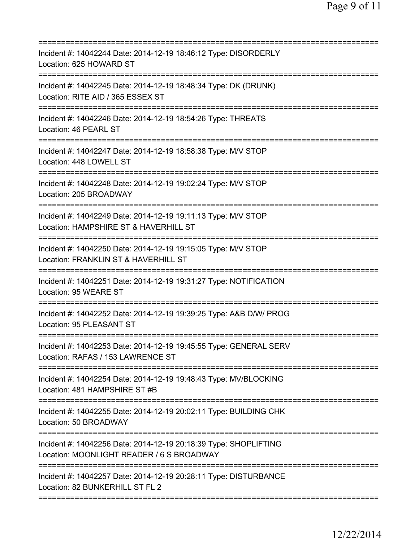| Incident #: 14042244 Date: 2014-12-19 18:46:12 Type: DISORDERLY<br>Location: 625 HOWARD ST                    |
|---------------------------------------------------------------------------------------------------------------|
| Incident #: 14042245 Date: 2014-12-19 18:48:34 Type: DK (DRUNK)<br>Location: RITE AID / 365 ESSEX ST          |
| Incident #: 14042246 Date: 2014-12-19 18:54:26 Type: THREATS<br>Location: 46 PEARL ST                         |
| Incident #: 14042247 Date: 2014-12-19 18:58:38 Type: M/V STOP<br>Location: 448 LOWELL ST                      |
| Incident #: 14042248 Date: 2014-12-19 19:02:24 Type: M/V STOP<br>Location: 205 BROADWAY                       |
| Incident #: 14042249 Date: 2014-12-19 19:11:13 Type: M/V STOP<br>Location: HAMPSHIRE ST & HAVERHILL ST        |
| Incident #: 14042250 Date: 2014-12-19 19:15:05 Type: M/V STOP<br>Location: FRANKLIN ST & HAVERHILL ST         |
| Incident #: 14042251 Date: 2014-12-19 19:31:27 Type: NOTIFICATION<br>Location: 95 WEARE ST                    |
| Incident #: 14042252 Date: 2014-12-19 19:39:25 Type: A&B D/W/ PROG<br>Location: 95 PLEASANT ST                |
| Incident #: 14042253 Date: 2014-12-19 19:45:55 Type: GENERAL SERV<br>Location: RAFAS / 153 LAWRENCE ST        |
| Incident #: 14042254 Date: 2014-12-19 19:48:43 Type: MV/BLOCKING<br>Location: 481 HAMPSHIRE ST #B             |
| Incident #: 14042255 Date: 2014-12-19 20:02:11 Type: BUILDING CHK<br>Location: 50 BROADWAY                    |
| Incident #: 14042256 Date: 2014-12-19 20:18:39 Type: SHOPLIFTING<br>Location: MOONLIGHT READER / 6 S BROADWAY |
| Incident #: 14042257 Date: 2014-12-19 20:28:11 Type: DISTURBANCE<br>Location: 82 BUNKERHILL ST FL 2           |
|                                                                                                               |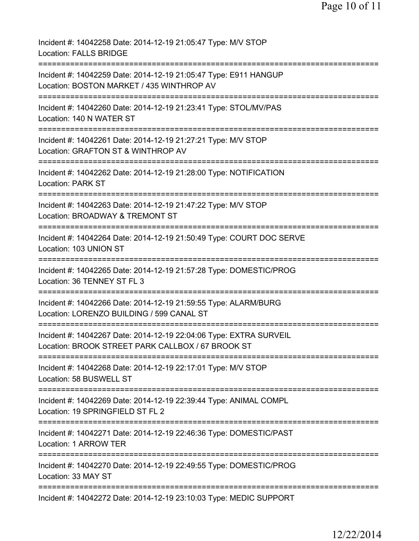| Incident #: 14042258 Date: 2014-12-19 21:05:47 Type: M/V STOP<br><b>Location: FALLS BRIDGE</b>                                                                          |
|-------------------------------------------------------------------------------------------------------------------------------------------------------------------------|
| Incident #: 14042259 Date: 2014-12-19 21:05:47 Type: E911 HANGUP<br>Location: BOSTON MARKET / 435 WINTHROP AV                                                           |
| Incident #: 14042260 Date: 2014-12-19 21:23:41 Type: STOL/MV/PAS<br>Location: 140 N WATER ST                                                                            |
| Incident #: 14042261 Date: 2014-12-19 21:27:21 Type: M/V STOP<br>Location: GRAFTON ST & WINTHROP AV                                                                     |
| Incident #: 14042262 Date: 2014-12-19 21:28:00 Type: NOTIFICATION<br><b>Location: PARK ST</b>                                                                           |
| =====================================<br>Incident #: 14042263 Date: 2014-12-19 21:47:22 Type: M/V STOP<br>Location: BROADWAY & TREMONT ST<br>========================== |
| Incident #: 14042264 Date: 2014-12-19 21:50:49 Type: COURT DOC SERVE<br>Location: 103 UNION ST                                                                          |
| Incident #: 14042265 Date: 2014-12-19 21:57:28 Type: DOMESTIC/PROG<br>Location: 36 TENNEY ST FL 3                                                                       |
| Incident #: 14042266 Date: 2014-12-19 21:59:55 Type: ALARM/BURG<br>Location: LORENZO BUILDING / 599 CANAL ST                                                            |
| Incident #: 14042267 Date: 2014-12-19 22:04:06 Type: EXTRA SURVEIL<br>Location: BROOK STREET PARK CALLBOX / 67 BROOK ST                                                 |
| Incident #: 14042268 Date: 2014-12-19 22:17:01 Type: M/V STOP<br>Location: 58 BUSWELL ST                                                                                |
| Incident #: 14042269 Date: 2014-12-19 22:39:44 Type: ANIMAL COMPL<br>Location: 19 SPRINGFIELD ST FL 2                                                                   |
| Incident #: 14042271 Date: 2014-12-19 22:46:36 Type: DOMESTIC/PAST<br>Location: 1 ARROW TER                                                                             |
| Incident #: 14042270 Date: 2014-12-19 22:49:55 Type: DOMESTIC/PROG<br>Location: 33 MAY ST                                                                               |
| Incident #: 14042272 Date: 2014-12-19 23:10:03 Type: MEDIC SUPPORT                                                                                                      |